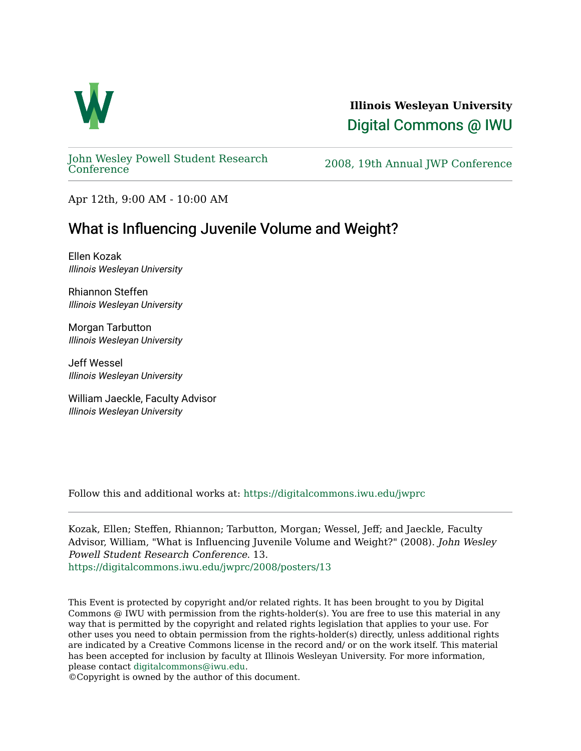

**Illinois Wesleyan University**  [Digital Commons @ IWU](https://digitalcommons.iwu.edu/) 

[John Wesley Powell Student Research](https://digitalcommons.iwu.edu/jwprc) 

2008, 19th Annual JWP [Conference](https://digitalcommons.iwu.edu/jwprc)

Apr 12th, 9:00 AM - 10:00 AM

## What is Influencing Juvenile Volume and Weight?

Ellen Kozak Illinois Wesleyan University

Rhiannon Steffen Illinois Wesleyan University

Morgan Tarbutton Illinois Wesleyan University

Jeff Wessel Illinois Wesleyan University

William Jaeckle, Faculty Advisor Illinois Wesleyan University

Follow this and additional works at: [https://digitalcommons.iwu.edu/jwprc](https://digitalcommons.iwu.edu/jwprc?utm_source=digitalcommons.iwu.edu%2Fjwprc%2F2008%2Fposters%2F13&utm_medium=PDF&utm_campaign=PDFCoverPages) 

Kozak, Ellen; Steffen, Rhiannon; Tarbutton, Morgan; Wessel, Jeff; and Jaeckle, Faculty Advisor, William, "What is Influencing Juvenile Volume and Weight?" (2008). John Wesley Powell Student Research Conference. 13. [https://digitalcommons.iwu.edu/jwprc/2008/posters/13](https://digitalcommons.iwu.edu/jwprc/2008/posters/13?utm_source=digitalcommons.iwu.edu%2Fjwprc%2F2008%2Fposters%2F13&utm_medium=PDF&utm_campaign=PDFCoverPages)

This Event is protected by copyright and/or related rights. It has been brought to you by Digital Commons @ IWU with permission from the rights-holder(s). You are free to use this material in any way that is permitted by the copyright and related rights legislation that applies to your use. For other uses you need to obtain permission from the rights-holder(s) directly, unless additional rights are indicated by a Creative Commons license in the record and/ or on the work itself. This material has been accepted for inclusion by faculty at Illinois Wesleyan University. For more information, please contact [digitalcommons@iwu.edu.](mailto:digitalcommons@iwu.edu)

©Copyright is owned by the author of this document.